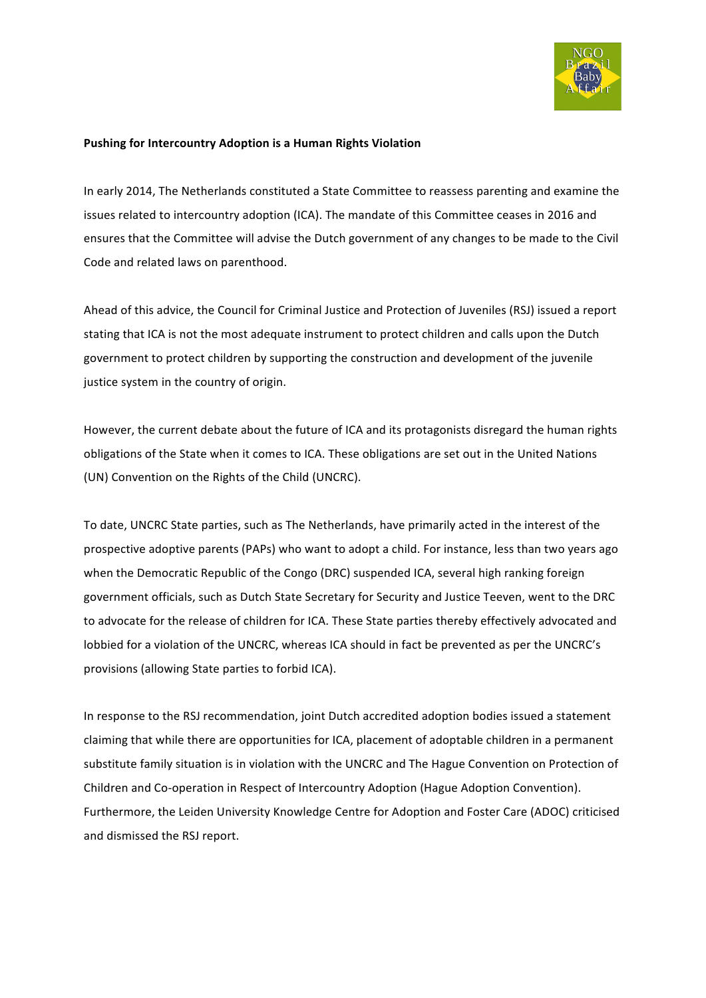

## **Pushing for Intercountry Adoption is a Human Rights Violation**

In early 2014, The Netherlands constituted a State Committee to reassess parenting and examine the issues related to intercountry adoption (ICA). The mandate of this Committee ceases in 2016 and ensures that the Committee will advise the Dutch government of any changes to be made to the Civil Code and related laws on parenthood.

Ahead of this advice, the Council for Criminal Justice and Protection of Juveniles (RSJ) issued a report stating that ICA is not the most adequate instrument to protect children and calls upon the Dutch government to protect children by supporting the construction and development of the juvenile justice system in the country of origin.

However, the current debate about the future of ICA and its protagonists disregard the human rights obligations of the State when it comes to ICA. These obligations are set out in the United Nations (UN) Convention on the Rights of the Child (UNCRC).

To date, UNCRC State parties, such as The Netherlands, have primarily acted in the interest of the prospective adoptive parents (PAPs) who want to adopt a child. For instance, less than two years ago when the Democratic Republic of the Congo (DRC) suspended ICA, several high ranking foreign government officials, such as Dutch State Secretary for Security and Justice Teeven, went to the DRC to advocate for the release of children for ICA. These State parties thereby effectively advocated and lobbied for a violation of the UNCRC, whereas ICA should in fact be prevented as per the UNCRC's provisions (allowing State parties to forbid ICA).

In response to the RSJ recommendation, joint Dutch accredited adoption bodies issued a statement claiming that while there are opportunities for ICA, placement of adoptable children in a permanent substitute family situation is in violation with the UNCRC and The Hague Convention on Protection of Children and Co-operation in Respect of Intercountry Adoption (Hague Adoption Convention). Furthermore, the Leiden University Knowledge Centre for Adoption and Foster Care (ADOC) criticised and dismissed the RSJ report.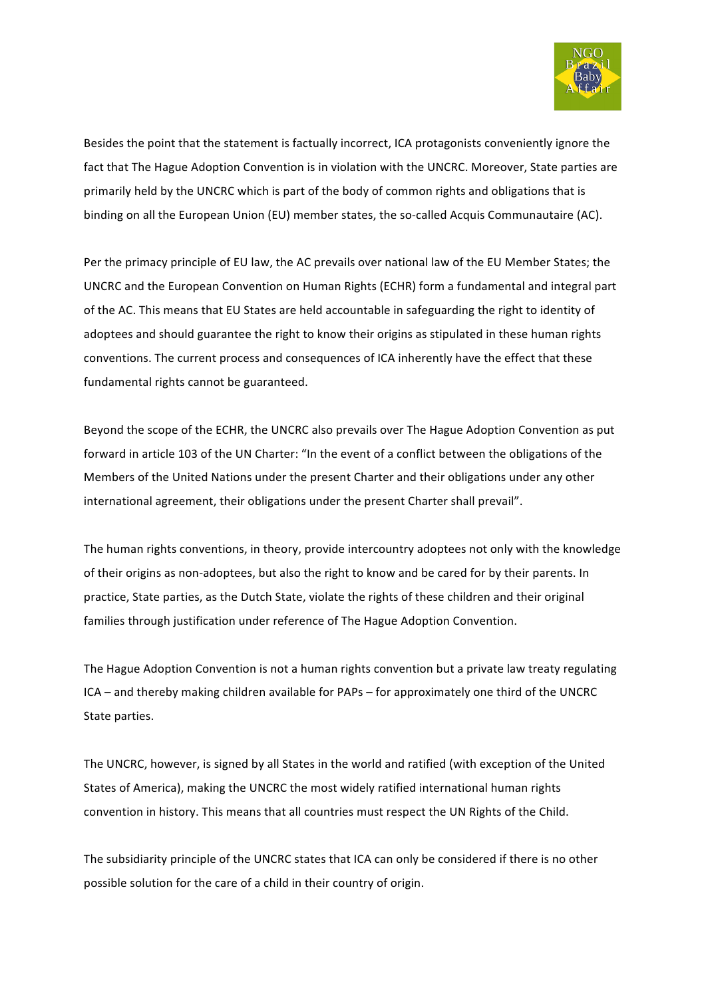

Besides the point that the statement is factually incorrect, ICA protagonists conveniently ignore the fact that The Hague Adoption Convention is in violation with the UNCRC. Moreover, State parties are primarily held by the UNCRC which is part of the body of common rights and obligations that is binding on all the European Union (EU) member states, the so-called Acquis Communautaire (AC).

Per the primacy principle of EU law, the AC prevails over national law of the EU Member States; the UNCRC and the European Convention on Human Rights (ECHR) form a fundamental and integral part of the AC. This means that EU States are held accountable in safeguarding the right to identity of adoptees and should guarantee the right to know their origins as stipulated in these human rights conventions. The current process and consequences of ICA inherently have the effect that these fundamental rights cannot be guaranteed.

Beyond the scope of the ECHR, the UNCRC also prevails over The Hague Adoption Convention as put forward in article 103 of the UN Charter: "In the event of a conflict between the obligations of the Members of the United Nations under the present Charter and their obligations under any other international agreement, their obligations under the present Charter shall prevail".

The human rights conventions, in theory, provide intercountry adoptees not only with the knowledge of their origins as non-adoptees, but also the right to know and be cared for by their parents. In practice, State parties, as the Dutch State, violate the rights of these children and their original families through justification under reference of The Hague Adoption Convention.

The Hague Adoption Convention is not a human rights convention but a private law treaty regulating ICA – and thereby making children available for PAPs – for approximately one third of the UNCRC State parties.

The UNCRC, however, is signed by all States in the world and ratified (with exception of the United States of America), making the UNCRC the most widely ratified international human rights convention in history. This means that all countries must respect the UN Rights of the Child.

The subsidiarity principle of the UNCRC states that ICA can only be considered if there is no other possible solution for the care of a child in their country of origin.